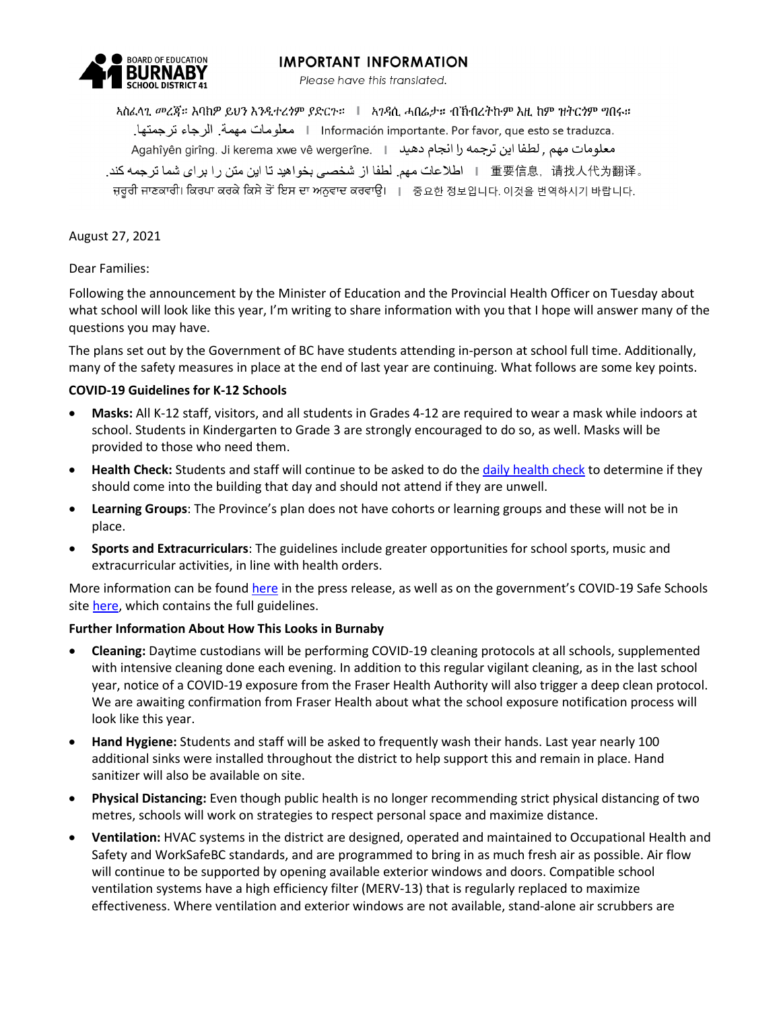# **IMPORTANT INFORMATION**



Please have this translated.

አስፈላኂ መረጃ። እባከዎ ይህን እንዲተረንም ያድርጉ። ∣ አገዳሲ ሓበሬታ። ብኸብረትኩም እዚ ከም ዝትርንም ግበሩ። .Información importante. Por favor, que esto se traduzca معلومات مهمة. الرجاء ترجمتها. معلومات مهم , لطفا اين ترجمه را انجام دهيد | .Agahîyên girîng. Ji kerema xwe vê wergerîne ه 重要信息,请找人代为翻译 | اطلاعات مهم لطفا از شخصي بخواهيد تا اين متن را براي شما ترجمه كند. ਜ਼ਰੂਰੀ ਜਾਣਕਾਰੀ। ਕਿਰਪਾ ਕਰਕੇ ਕਿਸੇ ਤੋਂ ਇਸ ਦਾ ਅਨੁਵਾਦ ਕਰਵਾਉ। । 중요한 정보입니다. 이것을 번역하시기 바랍니다.

August 27, 2021

Dear Families:

Following the announcement by the Minister of Education and the Provincial Health Officer on Tuesday about what school will look like this year, I'm writing to share information with you that I hope will answer many of the questions you may have.

The plans set out by the Government of BC have students attending in-person at school full time. Additionally, many of the safety measures in place at the end of last year are continuing. What follows are some key points.

### **COVID-19 Guidelines for K-12 Schools**

- **Masks:** All K-12 staff, visitors, and all students in Grades 4-12 are required to wear a mask while indoors at school. Students in Kindergarten to Grade 3 are strongly encouraged to do so, as well. Masks will be provided to those who need them.
- **Health Check:** Students and staff will continue to be asked to do the [daily health check](https://burnabyschools.ca/daily-health-check-for-students/) to determine if they should come into the building that day and should not attend if they are unwell.
- **Learning Groups**: The Province's plan does not have cohorts or learning groups and these will not be in place.
- **Sports and Extracurriculars**: The guidelines include greater opportunities for school sports, music and extracurricular activities, in line with health orders.

More information can be foun[d here](https://news.gov.bc.ca/releases/2021EDUC0058-001663) in the press release, as well as on the government's COVID-19 Safe Schools sit[e here,](https://www2.gov.bc.ca/gov/content/education-training/k-12/covid-19-safe-schools) which contains the full guidelines.

## **Further Information About How This Looks in Burnaby**

- **Cleaning:** Daytime custodians will be performing COVID-19 cleaning protocols at all schools, supplemented with intensive cleaning done each evening. In addition to this regular vigilant cleaning, as in the last school year, notice of a COVID-19 exposure from the Fraser Health Authority will also trigger a deep clean protocol. We are awaiting confirmation from Fraser Health about what the school exposure notification process will look like this year.
- **Hand Hygiene:** Students and staff will be asked to frequently wash their hands. Last year nearly 100 additional sinks were installed throughout the district to help support this and remain in place. Hand sanitizer will also be available on site.
- **Physical Distancing:** Even though public health is no longer recommending strict physical distancing of two metres, schools will work on strategies to respect personal space and maximize distance.
- **Ventilation:** HVAC systems in the district are designed, operated and maintained to Occupational Health and Safety and WorkSafeBC standards, and are programmed to bring in as much fresh air as possible. Air flow will continue to be supported by opening available exterior windows and doors. Compatible school ventilation systems have a high efficiency filter (MERV-13) that is regularly replaced to maximize effectiveness. Where ventilation and exterior windows are not available, stand-alone air scrubbers are